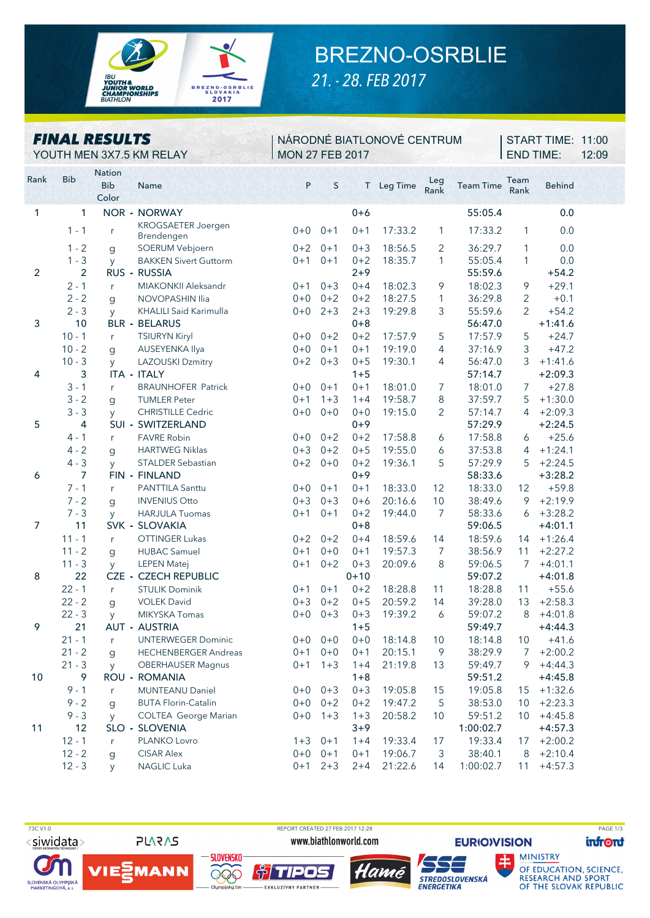

## BREZNO-OSRBLIE

21. - 28. FEB 2017

| <b>FINAL RESULTS</b><br>YOUTH MEN 3X7.5 KM RELAY |                |                                      |                                                      | NÁRODNÉ BIATLONOVÉ CENTRUM<br><b>MON 27 FEB 2017</b> |         |                    |                    |             |                    |                | START TIME: 11:00<br>12:09 |  |
|--------------------------------------------------|----------------|--------------------------------------|------------------------------------------------------|------------------------------------------------------|---------|--------------------|--------------------|-------------|--------------------|----------------|----------------------------|--|
| Rank                                             | <b>Bib</b>     | <b>Nation</b><br><b>Bib</b><br>Color | Name<br><b>CERTIFICATE</b>                           | P                                                    | S       |                    | T Leg Time         | Leg<br>Rank | <b>Team Time</b>   | Team<br>Rank   | <b>Behind</b>              |  |
| 1                                                | 1              |                                      | <b>NOR - NORWAY</b>                                  |                                                      |         | $0 + 6$            |                    |             | 55:05.4            |                | 0.0                        |  |
|                                                  | $1 - 1$        | r                                    | KROGSAETER Joergen                                   | $0 + 0$                                              | $0 + 1$ | $0 + 1$            | 17:33.2            | 1           | 17:33.2            | 1              | 0.0                        |  |
|                                                  | $1 - 2$        | g                                    | Brendengen<br>SOERUM Vebjoern                        | $0 + 2$                                              | $0 + 1$ | $0 + 3$            | 18:56.5            | 2           | 36:29.7            | 1              | 0.0                        |  |
|                                                  | $1 - 3$        | y                                    | <b>BAKKEN Sivert Guttorm</b>                         | $0 + 1$                                              | $0 + 1$ | $0 + 2$            | 18:35.7            | 1           | 55:05.4            | $\mathbf{1}$   | 0.0                        |  |
| $\overline{2}$                                   | $\overline{2}$ |                                      | RUS - RUSSIA                                         |                                                      |         | $2 + 9$            |                    |             | 55:59.6            |                | $+54.2$                    |  |
|                                                  | $2 - 1$        | r                                    | MIAKONKII Aleksandr                                  | 0+1                                                  | $0 + 3$ | $0 + 4$            | 18:02.3            | 9           | 18:02.3            | 9              | $+29.1$                    |  |
|                                                  | $2 - 2$        | g                                    | <b>NOVOPASHIN Ilia</b>                               | $0 + 0$                                              | $0 + 2$ | $0 + 2$            | 18:27.5            | 1           | 36:29.8            | 2              | $+0.1$                     |  |
|                                                  | $2 - 3$        | y                                    | KHALILI Said Karimulla                               | $0+0$                                                | $2 + 3$ | $2 + 3$            | 19:29.8            | 3           | 55:59.6            | $\overline{2}$ | $+54.2$                    |  |
| 3                                                | 10             |                                      | <b>BLR - BELARUS</b>                                 |                                                      |         | $0 + 8$            |                    |             | 56:47.0            |                | $+1:41.6$                  |  |
|                                                  | $10 - 1$       | $r_{\parallel}$                      | <b>TSIURYN Kiryl</b>                                 | $0 + 0$                                              | $0+2$   | $0 + 2$            | 17:57.9            | 5           | 17:57.9            | 5              | $+24.7$                    |  |
|                                                  | $10 - 2$       | $\mathbf{q}$                         | AUSEYENKA Ilya                                       | $0 + 0$                                              | $0 + 1$ | $0 + 1$            | 19:19.0            | 4           | 37:16.9            | 3              | $+47.2$                    |  |
|                                                  | $10 - 3$       | <b>y</b>                             | <b>LAZOUSKI Dzmitry</b>                              | $0 + 2$                                              | $0 + 3$ | $0 + 5$            | 19:30.1            | 4           | 56:47.0            | 3              | $+1:41.6$                  |  |
| 4                                                | 3              |                                      | <b>ITA - ITALY</b>                                   |                                                      |         | $1 + 5$            |                    |             | 57:14.7            |                | $+2:09.3$                  |  |
|                                                  | $3 - 1$        | r                                    | <b>BRAUNHOFER Patrick</b>                            | $0 + 0$                                              | $0 + 1$ | $0 + 1$            | 18:01.0            | 7           | 18:01.0            | 7              | $+27.8$                    |  |
|                                                  | $3 - 2$        | g                                    | <b>TUMLER Peter</b>                                  | $0 + 1$                                              | $1 + 3$ | $1 + 4$            | 19:58.7            | 8           | 37:59.7            | 5              | $+1:30.0$                  |  |
|                                                  | $3 - 3$        | <b>y</b>                             | <b>CHRISTILLE Cedric</b>                             | $0 + 0$                                              | $0 + 0$ | $0 + 0$            | 19:15.0            | 2           | 57:14.7            | $\overline{4}$ | $+2:09.3$                  |  |
| 5                                                | 4              |                                      | SUI - SWITZERLAND                                    |                                                      |         | $0 + 9$            |                    |             | 57:29.9            |                | $+2:24.5$                  |  |
|                                                  | $4 - 1$        | r                                    | <b>FAVRE Robin</b>                                   | $0 + 0$                                              | $0 + 2$ | $0 + 2$            | 17:58.8            | 6           | 17:58.8            | 6              | $+25.6$                    |  |
|                                                  | $4 - 2$        | g                                    | <b>HARTWEG Niklas</b>                                | $0 + 3$                                              | $0 + 2$ | $0 + 5$            | 19:55.0            | 6           | 37:53.8            | 4              | $+1:24.1$                  |  |
|                                                  | $4 - 3$        | <b>y</b>                             | <b>STALDER Sebastian</b>                             | $0 + 2$                                              | $0 + 0$ | $0 + 2$            | 19:36.1            | 5           | 57:29.9            | 5              | $+2:24.5$                  |  |
| 6                                                | 7              |                                      | FIN - FINLAND                                        |                                                      |         | $0 + 9$            |                    |             | 58:33.6            |                | $+3:28.2$                  |  |
|                                                  | $7 - 1$        | $r_{\parallel}$                      | PANTTILA Santtu                                      | $0 + 0$                                              | $0 + 1$ | $0 + 1$            | 18:33.0            | 12          | 18:33.0            | 12             | $+59.8$                    |  |
|                                                  | $7 - 2$        | g                                    | <b>INVENIUS Otto</b>                                 | $0 + 3$                                              | $0 + 3$ | $0 + 6$            | 20:16.6            | 10          | 38:49.6            | 9              | $+2:19.9$                  |  |
|                                                  | $7 - 3$        | y                                    | <b>HARJULA Tuomas</b>                                | $0 + 1$                                              | $0 + 1$ | $0 + 2$            | 19:44.0            | 7           | 58:33.6            | 6              | $+3:28.2$                  |  |
| $\overline{7}$                                   | 11             |                                      | SVK - SLOVAKIA                                       |                                                      |         | $0 + 8$            |                    |             | 59:06.5            |                | $+4:01.1$                  |  |
|                                                  | $11 - 1$       | r                                    | <b>OTTINGER Lukas</b>                                | $0 + 2$                                              | $0 + 2$ | $0 + 4$            | 18:59.6            | 14          | 18:59.6            | 14             | $+1:26.4$                  |  |
|                                                  | $11 - 2$       | $\mathbf{g}$                         | <b>HUBAC Samuel</b>                                  | $0 + 1$                                              | $0 + 0$ | $0 + 1$            | 19:57.3            | 7           | 38:56.9            | 11             | $+2:27.2$                  |  |
|                                                  | $11 - 3$<br>22 | y                                    | <b>LEPEN Matej</b>                                   | $0 + 1$                                              | $0 + 2$ | $0 + 3$            | 20:09.6            | 8           | 59:06.5            | 7              | $+4:01.1$                  |  |
| 8                                                | $22 - 1$       |                                      | <b>CZE - CZECH REPUBLIC</b><br><b>STULIK Dominik</b> |                                                      | $0 + 1$ | $0 + 10$           |                    |             | 59:07.2<br>18:28.8 |                | $+4:01.8$                  |  |
|                                                  | $22 - 2$       | r                                    | <b>VOLEK David</b>                                   | $0 + 1$<br>$0 + 3$                                   | $0 + 2$ | $0 + 2$<br>$0 + 5$ | 18:28.8<br>20:59.2 | 11<br>14    | 39:28.0            | 11<br>13       | $+55.6$<br>$+2:58.3$       |  |
|                                                  | $22 - 3$       | g                                    | <b>MIKYSKA Tomas</b>                                 | $0 + 0$                                              | $0 + 3$ | $0 + 3$            | 19:39.2            | 6           | 59:07.2            | 8              | $+4:01.8$                  |  |
| 9                                                | 21             | y                                    | AUT - AUSTRIA                                        |                                                      |         | $1 + 5$            |                    |             | 59:49.7            |                | $+4:44.3$                  |  |
|                                                  | $21 - 1$       | r                                    | <b>UNTERWEGER Dominic</b>                            | $0+0$                                                | $0 + 0$ | $0 + 0$            | 18:14.8            | 10          | 18:14.8            | 10             | $+41.6$                    |  |
|                                                  | $21 - 2$       | g                                    | <b>HECHENBERGER Andreas</b>                          | $0 + 1$                                              | $0 + 0$ | $0 + 1$            | 20:15.1            | 9           | 38:29.9            | 7              | $+2:00.2$                  |  |
|                                                  | $21 - 3$       | y                                    | <b>OBERHAUSER Magnus</b>                             | $0 + 1$                                              | $1 + 3$ | $1 + 4$            | 21:19.8            | 13          | 59:49.7            | 9              | $+4:44.3$                  |  |
| 10                                               | 9              |                                      | ROU - ROMANIA                                        |                                                      |         | $1 + 8$            |                    |             | 59:51.2            |                | $+4:45.8$                  |  |
|                                                  | $9 - 1$        | r                                    | <b>MUNTEANU Daniel</b>                               | $0+0$                                                | $0 + 3$ | $0 + 3$            | 19:05.8            | 15          | 19:05.8            | 15             | $+1:32.6$                  |  |
|                                                  | $9 - 2$        | $\mathbf{g}$                         | <b>BUTA Florin-Catalin</b>                           | $0+0$                                                | $0+2$   | $0 + 2$            | 19:47.2            | 5           | 38:53.0            | 10             | $+2:23.3$                  |  |
|                                                  | $9 - 3$        | <b>V</b>                             | <b>COLTEA George Marian</b>                          | $0+0$                                                | $1 + 3$ | $1 + 3$            | 20:58.2            | 10          | 59:51.2            | 10             | $+4:45.8$                  |  |
| 11                                               | 12             |                                      | SLO - SLOVENIA                                       |                                                      |         | $3 + 9$            |                    |             | 1:00:02.7          |                | $+4:57.3$                  |  |
|                                                  | $12 - 1$       | r                                    | PLANKO Lovro                                         | $1 + 3$                                              | $0 + 1$ | $1 + 4$            | 19:33.4            | 17          | 19:33.4            | 17             | $+2:00.2$                  |  |
|                                                  | $12 - 2$       | g                                    | <b>CISAR Alex</b>                                    | $0 + 0$                                              | $0 + 1$ | $0 + 1$            | 19:06.7            | 3           | 38:40.1            | 8              | $+2:10.4$                  |  |
|                                                  | $12 - 3$       | <b>y</b>                             | NAGLIC Luka                                          | $0 + 1$                                              | $2 + 3$ | $2 + 4$            | 21:22.6            | 14          | 1:00:02.7          | 11             | $+4:57.3$                  |  |



**PLARAS** 

REPORT CREATED 27 FEB 2017 12:28 www.biathlonworld.com









**EURIO)VISION** 

**infront** 

**MINISTRY** 

**PAGE 1/3** 

**OF EDUCATION, SCIENCE,<br>RESEARCH AND SPORT<br>OF THE SLOVAK REPUBLIC**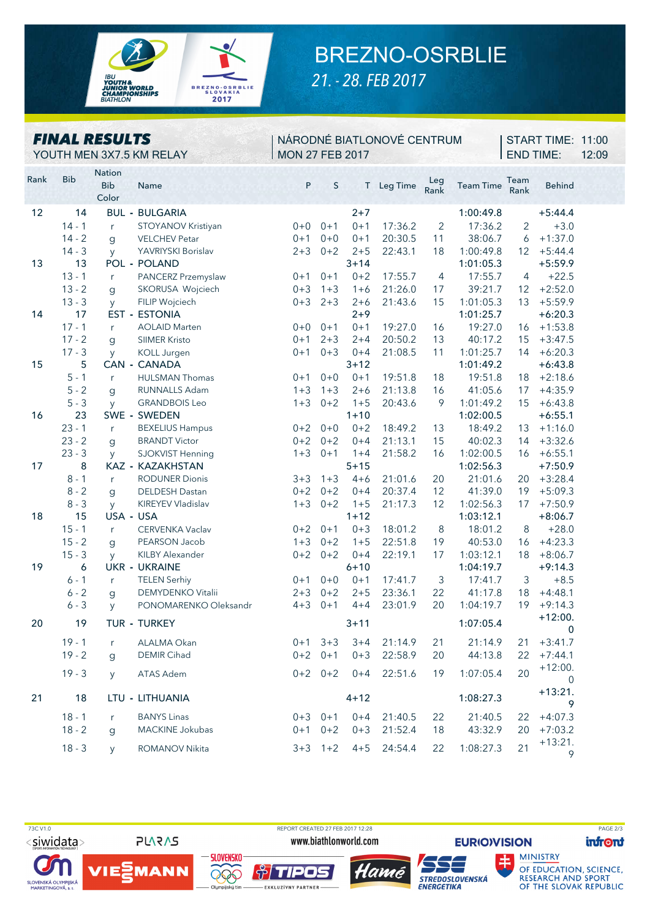

## BREZNO-OSRBLIE

*21. - 28. FEB 2017*

|      |            | <b>FINAL RESULTS</b>                 | YOUTH MEN 3X7.5 KM RELAY             | NÁRODNÉ BIATLONOVÉ CENTRUM<br><b>MON 27 FEB 2017</b> |             |          |            |                |                  | START TIME: 11:00<br><b>END TIME:</b> |                | 12:09 |
|------|------------|--------------------------------------|--------------------------------------|------------------------------------------------------|-------------|----------|------------|----------------|------------------|---------------------------------------|----------------|-------|
| Rank | <b>Bib</b> | <b>Nation</b><br><b>Bib</b><br>Color | Name<br><b>THE REPORT OF A STATE</b> | P                                                    | S           |          | T Leg Time | Leg<br>Rank    | <b>Team Time</b> | Team<br>Rank                          | <b>Behind</b>  |       |
| 12   | 14         |                                      | <b>BUL - BULGARIA</b>                |                                                      |             | $2 + 7$  |            |                | 1:00:49.8        |                                       | $+5:44.4$      |       |
|      | $14 - 1$   | r                                    | STOYANOV Kristiyan                   | $0 + 0$                                              | $0 + 1$     | $0 + 1$  | 17:36.2    | $\overline{2}$ | 17:36.2          | $\overline{2}$                        | $+3.0$         |       |
|      | $14 - 2$   | g                                    | <b>VELCHEV Petar</b>                 | $0 + 1$                                              | $0 + 0$     | $0 + 1$  | 20:30.5    | 11             | 38:06.7          | 6                                     | $+1:37.0$      |       |
|      | $14 - 3$   | <b>y</b>                             | YAVRIYSKI Borislav                   | $2 + 3$                                              | $0 + 2$     | $2 + 5$  | 22:43.1    | 18             | 1:00:49.8        | 12                                    | $+5:44.4$      |       |
| 13   | 13         |                                      | POL - POLAND                         |                                                      |             | $3 + 14$ |            |                | 1:01:05.3        |                                       | $+5:59.9$      |       |
|      | $13 - 1$   | $r_{\rm}$                            | PANCERZ Przemyslaw                   | $0 + 1$                                              | $0 + 1$     | $0 + 2$  | 17:55.7    | $\overline{4}$ | 17:55.7          | 4                                     | $+22.5$        |       |
|      | $13 - 2$   | $\mathbf{g}$                         | SKORUSA Wojciech                     | $0 + 3$                                              | $1 + 3$     | $1 + 6$  | 21:26.0    | 17             | 39:21.7          | 12                                    | $+2:52.0$      |       |
|      | $13 - 3$   | y                                    | FILIP Wojciech                       | $0 + 3$                                              | $2 + 3$     | $2 + 6$  | 21:43.6    | 15             | 1:01:05.3        | 13                                    | $+5:59.9$      |       |
| 14   | 17         |                                      | <b>EST - ESTONIA</b>                 |                                                      |             | $2 + 9$  |            |                | 1:01:25.7        |                                       | $+6:20.3$      |       |
|      | $17 - 1$   | r                                    | <b>AOLAID Marten</b>                 | $0 + 0$                                              | $0 + 1$     | $0 + 1$  | 19:27.0    | 16             | 19:27.0          | 16                                    | $+1:53.8$      |       |
|      | $17 - 2$   | g                                    | <b>SIIMER Kristo</b>                 | $0 + 1$                                              | $2 + 3$     | $2 + 4$  | 20:50.2    | 13             | 40:17.2          | 15                                    | $+3:47.5$      |       |
|      | $17 - 3$   | y                                    | <b>KOLL Jurgen</b>                   | $0 + 1$                                              | $0 + 3$     | $0 + 4$  | 21:08.5    | 11             | 1:01:25.7        | 14                                    | $+6:20.3$      |       |
| 15   | 5          | <b>CAN</b><br>$\blacksquare$         | <b>CANADA</b>                        |                                                      |             | $3 + 12$ |            |                | 1:01:49.2        |                                       | $+6:43.8$      |       |
|      | $5 - 1$    | r                                    | <b>HULSMAN Thomas</b>                | $0 + 1$                                              | $0 + 0$     | $0 + 1$  | 19:51.8    | 18             | 19:51.8          | 18                                    | $+2:18.6$      |       |
|      | $5 - 2$    | g                                    | <b>RUNNALLS Adam</b>                 | $1 + 3$                                              | $1 + 3$     | $2 + 6$  | 21:13.8    | 16             | 41:05.6          | 17                                    | $+4:35.9$      |       |
|      | $5 - 3$    | y                                    | <b>GRANDBOIS Leo</b>                 | $1 + 3$                                              | $0 + 2$     | $1 + 5$  | 20:43.6    | 9              | 1:01:49.2        | 15                                    | $+6:43.8$      |       |
| 16   | 23         |                                      | SWE - SWEDEN                         |                                                      |             | $1 + 10$ |            |                | 1:02:00.5        |                                       | $+6:55.1$      |       |
|      | $23 - 1$   | r                                    | <b>BEXELIUS Hampus</b>               | $0 + 2$                                              | $0 + 0$     | $0 + 2$  | 18:49.2    | 13             | 18:49.2          | 13                                    | $+1:16.0$      |       |
|      | $23 - 2$   | $\mathsf g$                          | <b>BRANDT Victor</b>                 | $0 + 2$                                              | $0 + 2$     | $0 + 4$  | 21:13.1    | 15             | 40:02.3          | 14                                    | $+3:32.6$      |       |
|      | $23 - 3$   | y                                    | SJOKVIST Henning                     | $1 + 3$                                              | $0 + 1$     | $1 + 4$  | 21:58.2    | 16             | 1:02:00.5        | 16                                    | $+6:55.1$      |       |
| 17   | 8          |                                      | KAZ - KAZAKHSTAN                     |                                                      |             | $5 + 15$ |            |                | 1:02:56.3        |                                       | $+7:50.9$      |       |
|      | $8 - 1$    | r                                    | <b>RODUNER Dionis</b>                | $3 + 3$                                              | $1 + 3$     | $4 + 6$  | 21:01.6    | 20             | 21:01.6          | 20                                    | $+3:28.4$      |       |
|      | $8 - 2$    | $\mathbf{g}$                         | <b>DELDESH Dastan</b>                | $0 + 2$                                              | $0 + 2$     | $0 + 4$  | 20:37.4    | 12             | 41:39.0          | 19                                    | $+5:09.3$      |       |
|      | $8 - 3$    | y                                    | KIREYEV Vladislav                    | $1 + 3$                                              | $0 + 2$     | $1 + 5$  | 21:17.3    | 12             | 1:02:56.3        | 17                                    | $+7:50.9$      |       |
| 18   | 15         | USA - USA                            |                                      |                                                      |             | $1 + 12$ |            |                | 1:03:12.1        |                                       | $+8:06.7$      |       |
|      | $15 - 1$   | r                                    | <b>CERVENKA Vaclav</b>               | $0 + 2$                                              | $0 + 1$     | $0 + 3$  | 18:01.2    | 8              | 18:01.2          | 8                                     | $+28.0$        |       |
|      | $15 - 2$   | g                                    | PEARSON Jacob                        | $1 + 3$                                              | $0 + 2$     | $1 + 5$  | 22:51.8    | 19             | 40:53.0          | 16                                    | $+4:23.3$      |       |
|      | $15 - 3$   | y                                    | <b>KILBY Alexander</b>               | $0 + 2$                                              | $0 + 2$     | $0 + 4$  | 22:19.1    | 17             | 1:03:12.1        | 18                                    | $+8:06.7$      |       |
| 19   | 6          |                                      | <b>UKR - UKRAINE</b>                 |                                                      |             | $6 + 10$ |            |                | 1:04:19.7        |                                       | $+9:14.3$      |       |
|      | $6 - 1$    | $r_{\parallel}$                      | <b>TELEN Serhiy</b>                  | $0 + 1$                                              | $0 + 0$     | $0 + 1$  | 17:41.7    | 3              | 17:41.7          | 3                                     | $+8.5$         |       |
|      | $6 - 2$    | g                                    | <b>DEMYDENKO Vitalii</b>             | $2 + 3$                                              | $0 + 2$     | $2 + 5$  | 23:36.1    | 22             | 41:17.8          | 18                                    | $+4:48.1$      |       |
|      | $6 - 3$    | y                                    | PONOMARENKO Oleksandr                | $4 + 3$                                              | $0 + 1$     | $4 + 4$  | 23:01.9    | 20             | 1:04:19.7        | 19                                    | $+9:14.3$      |       |
| 20   | 19         |                                      | TUR - TURKEY                         |                                                      |             | $3 + 11$ |            |                | 1:07:05.4        |                                       | $+12:00.$<br>0 |       |
|      | $19 - 1$   | $r_{\parallel}$                      | ALALMA Okan                          | $0 + 1$                                              | $3 + 3$     | $3 + 4$  | 21:14.9    | 21             | 21:14.9          | 21                                    | $+3:41.7$      |       |
|      | $19 - 2$   | g                                    | <b>DEMIR Cihad</b>                   | $0 + 2$                                              | $0 + 1$     | $0 + 3$  | 22:58.9    | 20             | 44:13.8          | 22                                    | $+7:44.1$      |       |
|      | $19 - 3$   | <b>V</b>                             | ATAS Adem                            |                                                      | $0+2$ $0+2$ | $0 + 4$  | 22:51.6    | 19             | 1:07:05.4        | 20                                    | $+12:00.$<br>0 |       |
| 21   | 18         |                                      | LTU - LITHUANIA                      |                                                      |             | $4 + 12$ |            |                | 1:08:27.3        |                                       | $+13:21.$<br>9 |       |
|      | $18 - 1$   | r                                    | <b>BANYS Linas</b>                   | $0 + 3$                                              | $0 + 1$     | $0 + 4$  | 21:40.5    | 22             | 21:40.5          | 22                                    | $+4:07.3$      |       |
|      | $18 - 2$   | g                                    | MACKINE Jokubas                      | $0 + 1$                                              | $0 + 2$     | $0 + 3$  | 21:52.4    | 18             | 43:32.9          | 20                                    | $+7:03.2$      |       |
|      | $18 - 3$   | <b>y</b>                             | <b>ROMANOV Nikita</b>                | $3 + 3$                                              | $1 + 2$     | $4 + 5$  | 24:54.4    | 22             | 1:08:27.3        | 21                                    | $+13:21.$<br>9 |       |



SLOVENSKÁ OLYMPIJSKÁ<br>MARKETINGOVÁ, a. s.

**PLARAS** 

VIEZMANN

 73C V1.0 REPORT CREATED 27 FEB 2017 12:28 PAGE 2/3www.biathlonworld.com



**Å TIPOS** 

**EXKLUZÍVNY PARTNER** 

**SLOVENSKO** 

000



**EURIO)VISION** 土

**infront** 

**OF EDUCATION, SCIENCE,<br>RESEARCH AND SPORT<br>OF THE SLOVAK REPUBLIC** 

**MINISTRY**